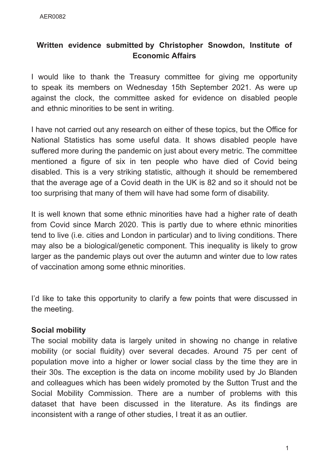# **Written evidence submitted by Christopher Snowdon, Institute of Economic Affairs**

I would like to thank the Treasury committee for giving me opportunity to speak its members on Wednesday 15th September 2021. As were up against the clock, the committee asked for evidence on disabled people and ethnic minorities to be sent in writing.

I have not carried out any research on either of these topics, but the Office for National Statistics has some useful data. It shows disabled people have suffered more during the pandemic on just about every metric. The committee mentioned a figure of six in ten people who have died of Covid being disabled. This is a very striking statistic, although it should be remembered that the average age of a Covid death in the UK is 82 and so it should not be too surprising that many of them will have had some form of disability.

It is well known that some ethnic minorities have had a higher rate of death from Covid since March 2020. This is partly due to where ethnic minorities tend to live (i.e. cities and London in particular) and to living conditions. There may also be a biological/genetic component. This inequality is likely to grow larger as the pandemic plays out over the autumn and winter due to low rates of vaccination among some ethnic minorities.

I'd like to take this opportunity to clarify a few points that were discussed in the meeting.

### **Social mobility**

The social mobility data is largely united in showing no change in relative mobility (or social fluidity) over several decades. Around 75 per cent of population move into a higher or lower social class by the time they are in their 30s. The exception is the data on income mobility used by Jo Blanden and colleagues which has been widely promoted by the Sutton Trust and the Social Mobility Commission. There are a number of problems with this dataset that have been discussed in the literature. As its findings are inconsistent with a range of other studies, I treat it as an outlier.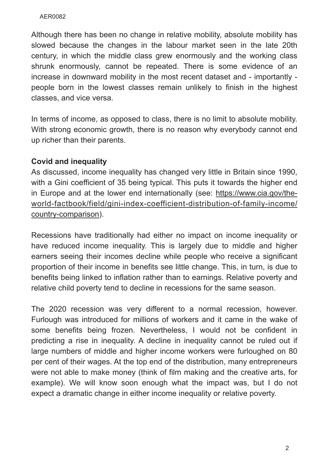#### AER0082

Although there has been no change in relative mobility, absolute mobility has slowed because the changes in the labour market seen in the late 20th century, in which the middle class grew enormously and the working class shrunk enormously, cannot be repeated. There is some evidence of an increase in downward mobility in the most recent dataset and - importantly people born in the lowest classes remain unlikely to finish in the highest classes, and vice versa.

In terms of income, as opposed to class, there is no limit to absolute mobility. With strong economic growth, there is no reason why everybody cannot end up richer than their parents.

## **Covid and inequality**

As discussed, income inequality has changed very little in Britain since 1990, with a Gini coefficient of 35 being typical. This puts it towards the higher end in Europe and at the lower end internationally (see: https://www.cia.gov/theworld-factbook/field/gini-index-coefficient-distribution-of-family-income/ country-comparison).

Recessions have traditionally had either no impact on income inequality or have reduced income inequality. This is largely due to middle and higher earners seeing their incomes decline while people who receive a significant proportion of their income in benefits see little change. This, in turn, is due to benefits being linked to inflation rather than to earnings. Relative poverty and relative child poverty tend to decline in recessions for the same season.

The 2020 recession was very different to a normal recession, however. Furlough was introduced for millions of workers and it came in the wake of some benefits being frozen. Nevertheless, I would not be confident in predicting a rise in inequality. A decline in inequality cannot be ruled out if large numbers of middle and higher income workers were furloughed on 80 per cent of their wages. At the top end of the distribution, many entrepreneurs were not able to make money (think of film making and the creative arts, for example). We will know soon enough what the impact was, but I do not expect a dramatic change in either income inequality or relative poverty.